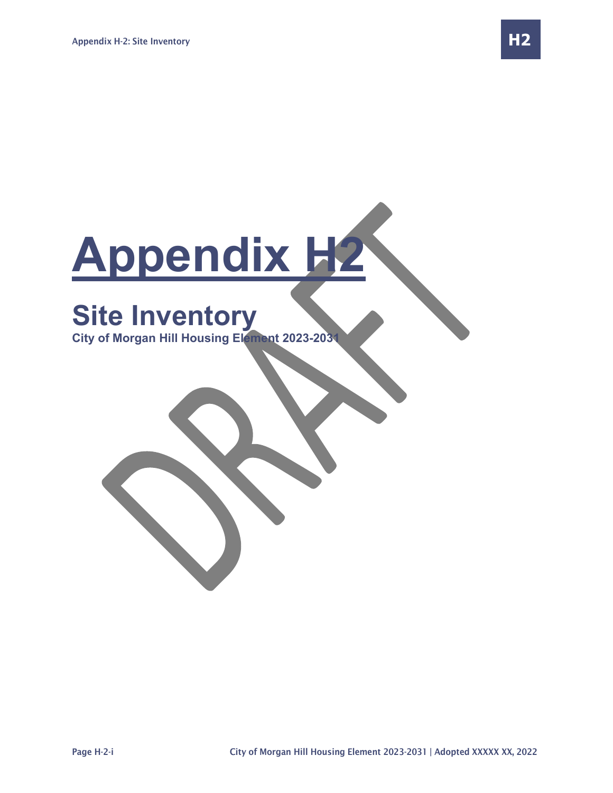# **Appendix H2**

## **Site Inventory**

**City of Morgan Hill Housing Element 2023-2031**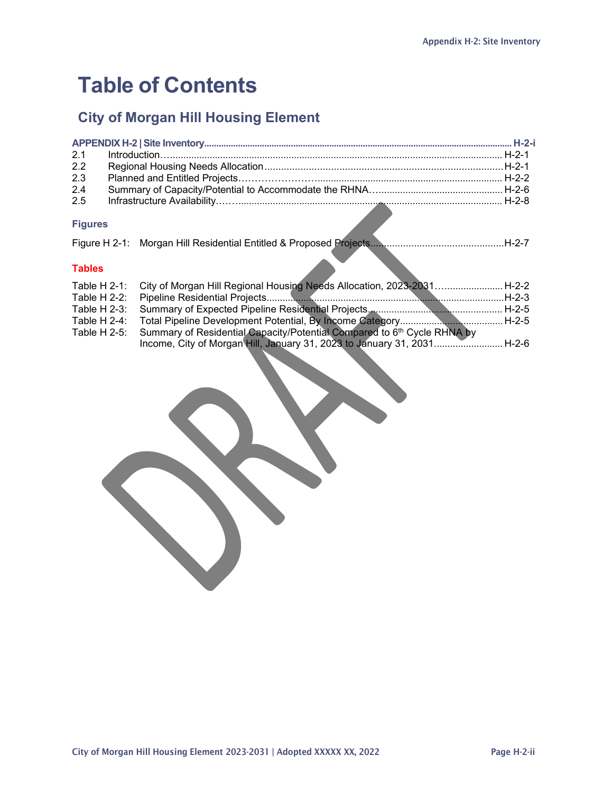### **Table of Contents**

#### **City of Morgan Hill Housing Element**

| 2.1             |                                                                                                                                                    |  |
|-----------------|----------------------------------------------------------------------------------------------------------------------------------------------------|--|
| 2.2             |                                                                                                                                                    |  |
| 2.3             |                                                                                                                                                    |  |
| 2.4             |                                                                                                                                                    |  |
| 2.5             |                                                                                                                                                    |  |
| <b>Figures</b>  |                                                                                                                                                    |  |
|                 |                                                                                                                                                    |  |
| <b>Tables</b>   |                                                                                                                                                    |  |
| Table H $2-1$ : | City of Morgan Hill Regional Housing Needs Allocation, 2023-2031 H-2-2                                                                             |  |
| Table H $2-2$ : |                                                                                                                                                    |  |
| Table H 2-3:    |                                                                                                                                                    |  |
| Table H 2-4:    |                                                                                                                                                    |  |
| Table H $2-5$ : | Summary of Residential Capacity/Potential Compared to 6th Cycle RHNA by<br>Income, City of Morgan Hill, January 31, 2023 to January 31, 2031 H-2-6 |  |
|                 |                                                                                                                                                    |  |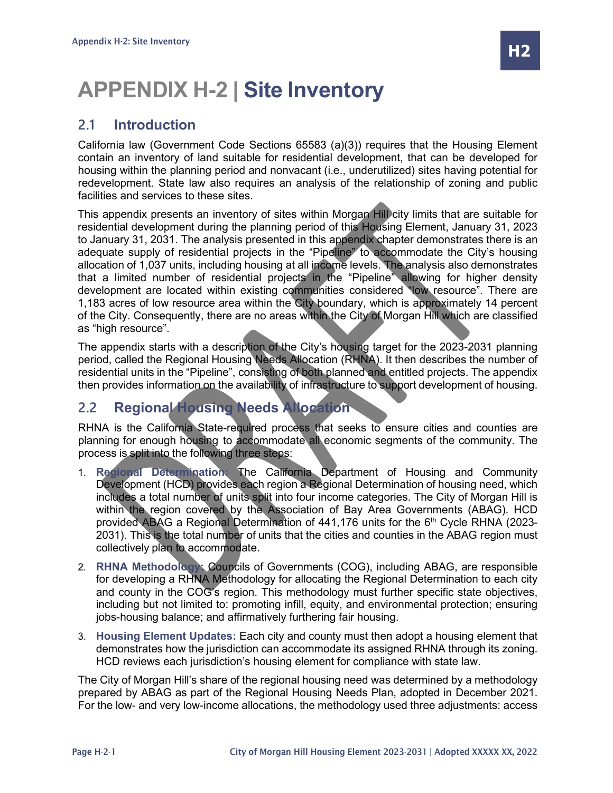## **APPENDIX H-2 | Site Inventory**

#### **2.1 Introduction**

California law (Government Code Sections 65583 (a)(3)) requires that the Housing Element contain an inventory of land suitable for residential development, that can be developed for housing within the planning period and nonvacant (i.e., underutilized) sites having potential for redevelopment. State law also requires an analysis of the relationship of zoning and public facilities and services to these sites.

This appendix presents an inventory of sites within Morgan Hill city limits that are suitable for residential development during the planning period of this Housing Element, January 31, 2023 to January 31, 2031. The analysis presented in this appendix chapter demonstrates there is an adequate supply of residential projects in the "Pipeline" to accommodate the City's housing allocation of 1,037 units, including housing at all income levels. The analysis also demonstrates that a limited number of residential projects in the "Pipeline" allowing for higher density development are located within existing communities considered "low resource". There are 1,183 acres of low resource area within the City boundary, which is approximately 14 percent of the City. Consequently, there are no areas within the City of Morgan Hill which are classified as "high resource".

The appendix starts with a description of the City's housing target for the 2023-2031 planning period, called the Regional Housing Needs Allocation (RHNA). It then describes the number of residential units in the "Pipeline", consisting of both planned and entitled projects. The appendix then provides information on the availability of infrastructure to support development of housing.

#### **2.2 Regional Housing Needs Allocation**

RHNA is the California State-required process that seeks to ensure cities and counties are planning for enough housing to accommodate all economic segments of the community. The process is split into the following three steps:

- 1. **Regional Determination:** The California Department of Housing and Community Development (HCD) provides each region a Regional Determination of housing need, which includes a total number of units split into four income categories. The City of Morgan Hill is within the region covered by the Association of Bay Area Governments (ABAG). HCD provided ABAG a Regional Determination of  $441,176$  units for the  $6<sup>th</sup>$  Cycle RHNA (2023-2031). This is the total number of units that the cities and counties in the ABAG region must collectively plan to accommodate.
- 2. **RHNA Methodology:** Councils of Governments (COG), including ABAG, are responsible for developing a RHNA Methodology for allocating the Regional Determination to each city and county in the COG's region. This methodology must further specific state objectives, including but not limited to: promoting infill, equity, and environmental protection; ensuring jobs-housing balance; and affirmatively furthering fair housing.
- 3. **Housing Element Updates:** Each city and county must then adopt a housing element that demonstrates how the jurisdiction can accommodate its assigned RHNA through its zoning. HCD reviews each jurisdiction's housing element for compliance with state law.

The City of Morgan Hill's share of the regional housing need was determined by a methodology prepared by ABAG as part of the Regional Housing Needs Plan, adopted in December 2021. For the low- and very low-income allocations, the methodology used three adjustments: access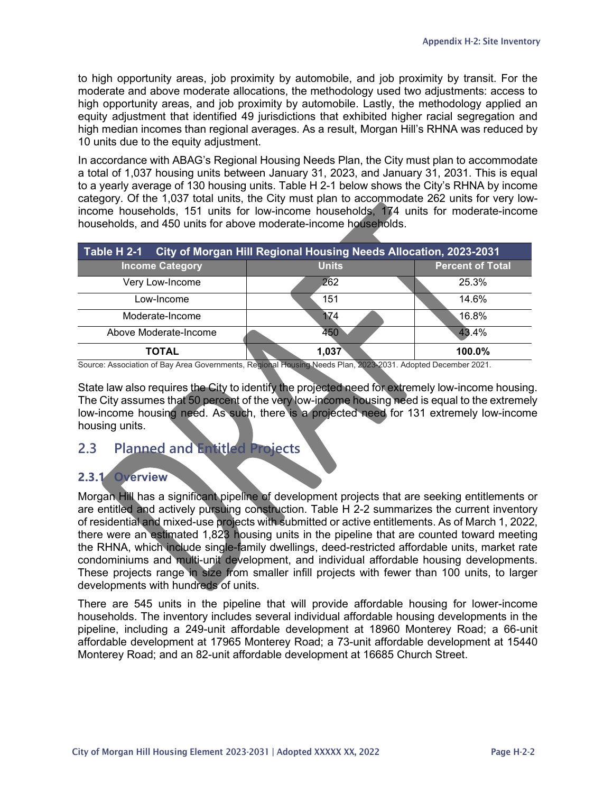to high opportunity areas, job proximity by automobile, and job proximity by transit. For the moderate and above moderate allocations, the methodology used two adjustments: access to high opportunity areas, and job proximity by automobile. Lastly, the methodology applied an equity adjustment that identified 49 jurisdictions that exhibited higher racial segregation and high median incomes than regional averages. As a result, Morgan Hill's RHNA was reduced by 10 units due to the equity adjustment.

In accordance with ABAG's Regional Housing Needs Plan, the City must plan to accommodate a total of 1,037 housing units between January 31, 2023, and January 31, 2031. This is equal to a yearly average of 130 housing units. Table H 2-1 below shows the City's RHNA by income category. Of the 1,037 total units, the City must plan to accommodate 262 units for very lowincome households, 151 units for low-income households, 174 units for moderate-income households, and 450 units for above moderate-income households.

| Table H 2-1<br>City of Morgan Hill Regional Housing Needs Allocation, 2023-2031 |              |                         |  |  |  |  |  |  |
|---------------------------------------------------------------------------------|--------------|-------------------------|--|--|--|--|--|--|
| <b>Income Category</b>                                                          | <b>Units</b> | <b>Percent of Total</b> |  |  |  |  |  |  |
| Very Low-Income                                                                 | 262          | 25.3%                   |  |  |  |  |  |  |
| Low-Income                                                                      | 151          | 14.6%                   |  |  |  |  |  |  |
| Moderate-Income                                                                 | 174          | 16.8%                   |  |  |  |  |  |  |
| Above Moderate-Income                                                           | 450          | 43.4%                   |  |  |  |  |  |  |
| TOTAL                                                                           | 1.037        | $100.0\%$               |  |  |  |  |  |  |

Source: Association of Bay Area Governments, Regional Housing Needs Plan, 2023-2031. Adopted December 2021.

State law also requires the City to identify the projected need for extremely low-income housing. The City assumes that 50 percent of the very low-income housing need is equal to the extremely low-income housing need. As such, there is a projected need for 131 extremely low-income housing units.

#### **2.3 Planned and Entitled Projects**

#### **2.3.1 Overview**

Morgan Hill has a significant pipeline of development projects that are seeking entitlements or are entitled and actively pursuing construction. Table H 2-2 summarizes the current inventory of residential and mixed-use projects with submitted or active entitlements. As of March 1, 2022, there were an estimated 1,823 housing units in the pipeline that are counted toward meeting the RHNA, which include single-family dwellings, deed-restricted affordable units, market rate condominiums and multi-unit development, and individual affordable housing developments. These projects range in size from smaller infill projects with fewer than 100 units, to larger developments with hundreds of units.

There are 545 units in the pipeline that will provide affordable housing for lower-income households. The inventory includes several individual affordable housing developments in the pipeline, including a 249-unit affordable development at 18960 Monterey Road; a 66-unit affordable development at 17965 Monterey Road; a 73-unit affordable development at 15440 Monterey Road; and an 82-unit affordable development at 16685 Church Street.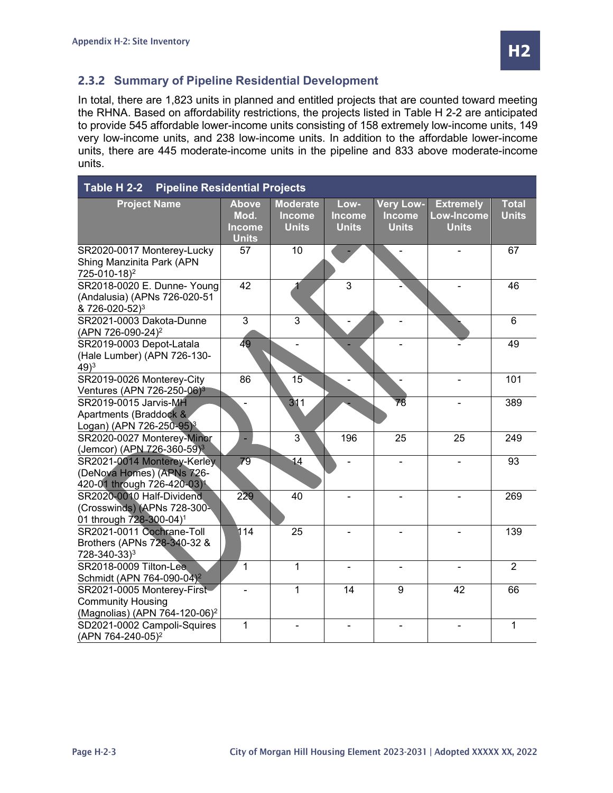

#### **2.3.2 Summary of Pipeline Residential Development**

In total, there are 1,823 units in planned and entitled projects that are counted toward meeting the RHNA. Based on affordability restrictions, the projects listed in Table H 2-2 are anticipated to provide 545 affordable lower-income units consisting of 158 extremely low-income units, 149 very low-income units, and 238 low-income units. In addition to the affordable lower-income units, there are 445 moderate-income units in the pipeline and 833 above moderate-income units.

| <b>Pipeline Residential Projects</b><br>Table H 2-2 |                |                 |                              |                              |                              |                |  |  |
|-----------------------------------------------------|----------------|-----------------|------------------------------|------------------------------|------------------------------|----------------|--|--|
| <b>Project Name</b>                                 | <b>Above</b>   | <b>Moderate</b> | Low-                         | <b>Very Low-</b>             | <b>Extremely</b>             | <b>Total</b>   |  |  |
|                                                     | Mod.           | <b>Income</b>   | <b>Income</b>                | <b>Income</b>                | <b>Low-Income</b>            | <b>Units</b>   |  |  |
|                                                     | <b>Income</b>  | <b>Units</b>    | <b>Units</b>                 | <b>Units</b>                 | <b>Units</b>                 |                |  |  |
|                                                     | <b>Units</b>   |                 |                              |                              |                              |                |  |  |
| SR2020-0017 Monterey-Lucky                          | 57             | 10              |                              |                              |                              | 67             |  |  |
| Shing Manzinita Park (APN                           |                |                 |                              |                              |                              |                |  |  |
| 725-010-18) <sup>2</sup>                            |                |                 |                              |                              |                              |                |  |  |
| SR2018-0020 E. Dunne- Young                         | 42             |                 | 3                            |                              |                              | 46             |  |  |
| (Andalusia) (APNs 726-020-51                        |                |                 |                              |                              |                              |                |  |  |
| &726-020-52) <sup>3</sup>                           |                |                 |                              |                              |                              |                |  |  |
| SR2021-0003 Dakota-Dunne                            | $\overline{3}$ | 3               | $\overline{\phantom{0}}$     |                              |                              | 6              |  |  |
| (APN 726-090-24) <sup>2</sup>                       |                |                 |                              |                              |                              |                |  |  |
| SR2019-0003 Depot-Latala                            | 49             |                 |                              |                              |                              | 49             |  |  |
| (Hale Lumber) (APN 726-130-                         |                |                 |                              |                              |                              |                |  |  |
| $(49)^3$                                            |                |                 |                              |                              |                              |                |  |  |
| SR2019-0026 Monterey-City                           | 86             | 15              | $\blacksquare$               | $\blacksquare$               | $\blacksquare$               | 101            |  |  |
| Ventures (APN 726-250-06) <sup>3</sup>              |                |                 |                              |                              |                              |                |  |  |
| SR2019-0015 Jarvis-MH                               |                | 311             |                              | 78                           | $\blacksquare$               | 389            |  |  |
| Apartments (Braddock &                              |                |                 |                              |                              |                              |                |  |  |
| Logan) (APN 726-250-95) <sup>3</sup>                |                |                 |                              |                              |                              |                |  |  |
| SR2020-0027 Monterey-Minor                          |                | $3^{\circ}$     | 196                          | 25                           | 25                           | 249            |  |  |
| (Jemcor) (APN 726-360-59) <sup>3</sup>              |                |                 |                              |                              |                              |                |  |  |
| SR2021-0014 Monterey-Kerley                         | 79             | 14              | $\blacksquare$               |                              |                              | 93             |  |  |
| (DeNova Homes) (APNs 726-                           |                |                 |                              |                              |                              |                |  |  |
| 420-01 through 726-420-03) <sup>1</sup>             |                |                 |                              |                              |                              |                |  |  |
| SR2020-0010 Half-Dividend                           | 229            | 40              |                              |                              |                              | 269            |  |  |
| (Crosswinds) (APNs 728-300-                         |                |                 |                              |                              |                              |                |  |  |
| 01 through 728-300-04) <sup>1</sup>                 |                |                 |                              |                              |                              |                |  |  |
| SR2021-0011 Cochrane-Toll                           | 114            | 25              |                              |                              |                              | 139            |  |  |
| Brothers (APNs 728-340-32 &                         |                |                 |                              |                              |                              |                |  |  |
| 728-340-33) <sup>3</sup>                            |                |                 |                              |                              |                              |                |  |  |
| SR2018-0009 Tilton-Lee                              | $\mathbf{1}$   | $\mathbf{1}$    | $\qquad \qquad \blacksquare$ | $\qquad \qquad \blacksquare$ | $\qquad \qquad \blacksquare$ | $\overline{2}$ |  |  |
| Schmidt (APN 764-090-04) <sup>2</sup>               |                |                 |                              |                              |                              |                |  |  |
| SR2021-0005 Monterey-First                          |                | 1               | 14                           | 9                            | 42                           | 66             |  |  |
| <b>Community Housing</b>                            |                |                 |                              |                              |                              |                |  |  |
| (Magnolias) (APN 764-120-06) <sup>2</sup>           |                |                 |                              |                              |                              |                |  |  |
| SD2021-0002 Campoli-Squires                         | 1              |                 |                              |                              |                              | $\mathbf 1$    |  |  |
| (APN 764-240-05) <sup>2</sup>                       |                |                 |                              |                              |                              |                |  |  |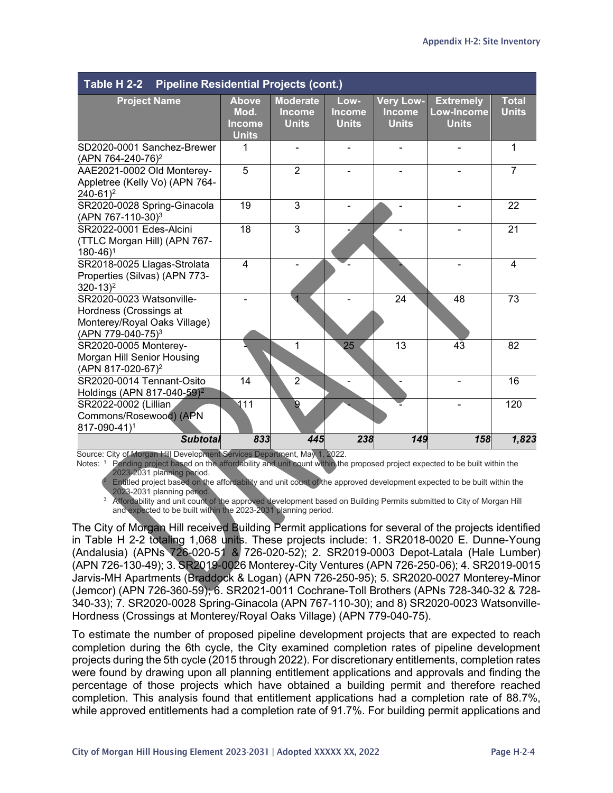| <b>Pipeline Residential Projects (cont.)</b><br>Table H 2-2                                                         |                                                       |                                                  |                                       |                                                   |                                                       |                              |  |  |
|---------------------------------------------------------------------------------------------------------------------|-------------------------------------------------------|--------------------------------------------------|---------------------------------------|---------------------------------------------------|-------------------------------------------------------|------------------------------|--|--|
| <b>Project Name</b>                                                                                                 | <b>Above</b><br>Mod.<br><b>Income</b><br><b>Units</b> | <b>Moderate</b><br><b>Income</b><br><b>Units</b> | Low-<br><b>Income</b><br><b>Units</b> | <b>Very Low-</b><br><b>Income</b><br><b>Units</b> | <b>Extremely</b><br><b>Low-Income</b><br><b>Units</b> | <b>Total</b><br><b>Units</b> |  |  |
| SD2020-0001 Sanchez-Brewer<br>(APN 764-240-76) <sup>2</sup>                                                         | 1                                                     |                                                  |                                       |                                                   |                                                       | 1                            |  |  |
| AAE2021-0002 Old Monterey-<br>Appletree (Kelly Vo) (APN 764-<br>$240-61$ <sup>2</sup>                               | 5                                                     | $\overline{2}$                                   |                                       |                                                   |                                                       | $\overline{7}$               |  |  |
| SR2020-0028 Spring-Ginacola<br>(APN 767-110-30) <sup>3</sup>                                                        | 19                                                    | 3                                                |                                       |                                                   |                                                       | 22                           |  |  |
| SR2022-0001 Edes-Alcini<br>(TTLC Morgan Hill) (APN 767-<br>$180 - 46$ <sup>1</sup>                                  | 18                                                    | 3                                                |                                       |                                                   |                                                       | 21                           |  |  |
| SR2018-0025 Llagas-Strolata<br>Properties (Silvas) (APN 773-<br>$320 - 13$ <sup>2</sup>                             | $\overline{4}$                                        |                                                  |                                       |                                                   |                                                       | $\overline{\mathcal{A}}$     |  |  |
| SR2020-0023 Watsonville-<br>Hordness (Crossings at<br>Monterey/Royal Oaks Village)<br>(APN 779-040-75) <sup>3</sup> |                                                       |                                                  |                                       | 24                                                | 48                                                    | 73                           |  |  |
| SR2020-0005 Monterey-<br>Morgan Hill Senior Housing<br>(APN 817-020-67) <sup>2</sup>                                |                                                       | 1                                                | 25                                    | 13                                                | 43                                                    | 82                           |  |  |
| SR2020-0014 Tennant-Osito<br>Holdings (APN 817-040-59) <sup>2</sup>                                                 | 14                                                    | $\overline{2}$                                   |                                       |                                                   |                                                       | 16                           |  |  |
| SR2022-0002 (Lillian<br>Commons/Rosewood) (APN<br>817-090-41)1                                                      | 111                                                   | $\overline{9}$                                   |                                       |                                                   |                                                       | 120                          |  |  |
| <b>Subtotal</b>                                                                                                     | 833                                                   | 445                                              | 238                                   | 149                                               | 158                                                   | 1,823                        |  |  |

Source: City of Morgan Hill Development Services Department, May 1, 2022.

Notes: <sup>1</sup> Pending project based on the affordability and unit count within the proposed project expected to be built within the 2023-2031 planning period.

<sup>2</sup> Entitled project based on the affordability and unit count of the approved development expected to be built within the 2023-2031 planning period.

<sup>3</sup> Affordability and unit count of the approved development based on Building Permits submitted to City of Morgan Hill and expected to be built within the 2023-2031 planning period.

The City of Morgan Hill received Building Permit applications for several of the projects identified in Table H 2-2 totaling 1,068 units. These projects include: 1. SR2018-0020 E. Dunne-Young (Andalusia) (APNs 726-020-51 & 726-020-52); 2. SR2019-0003 Depot-Latala (Hale Lumber) (APN 726-130-49); 3. SR2019-0026 Monterey-City Ventures (APN 726-250-06); 4. SR2019-0015 Jarvis-MH Apartments (Braddock & Logan) (APN 726-250-95); 5. SR2020-0027 Monterey-Minor (Jemcor) (APN 726-360-59); 6. SR2021-0011 Cochrane-Toll Brothers (APNs 728-340-32 & 728- 340-33); 7. SR2020-0028 Spring-Ginacola (APN 767-110-30); and 8) SR2020-0023 Watsonville-Hordness (Crossings at Monterey/Royal Oaks Village) (APN 779-040-75).

To estimate the number of proposed pipeline development projects that are expected to reach completion during the 6th cycle, the City examined completion rates of pipeline development projects during the 5th cycle (2015 through 2022). For discretionary entitlements, completion rates were found by drawing upon all planning entitlement applications and approvals and finding the percentage of those projects which have obtained a building permit and therefore reached completion. This analysis found that entitlement applications had a completion rate of 88.7%, while approved entitlements had a completion rate of 91.7%. For building permit applications and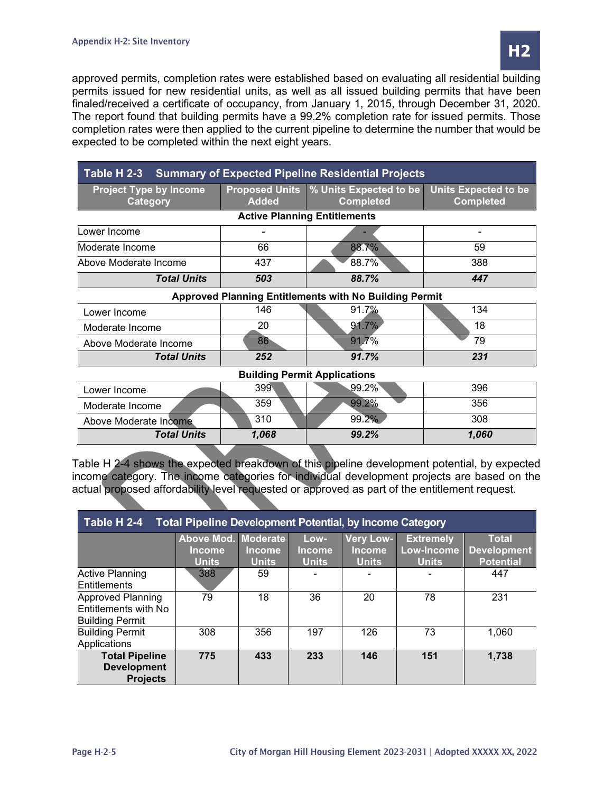

approved permits, completion rates were established based on evaluating all residential building permits issued for new residential units, as well as all issued building permits that have been finaled/received a certificate of occupancy, from January 1, 2015, through December 31, 2020. The report found that building permits have a 99.2% completion rate for issued permits. Those completion rates were then applied to the current pipeline to determine the number that would be expected to be completed within the next eight years.

| Table H 2-3 Summary of Expected Pipeline Residential Projects |              |                                                             |                                                 |  |  |  |  |  |  |
|---------------------------------------------------------------|--------------|-------------------------------------------------------------|-------------------------------------------------|--|--|--|--|--|--|
| <b>Project Type by Income</b><br>Category                     | <b>Added</b> | Proposed Units   % Units Expected to be<br><b>Completed</b> | <b>Units Expected to be</b><br><b>Completed</b> |  |  |  |  |  |  |
|                                                               |              | <b>Active Planning Entitlements</b>                         |                                                 |  |  |  |  |  |  |
| Lower Income                                                  | ۰            |                                                             | ۰                                               |  |  |  |  |  |  |
| Moderate Income                                               | 66           | 88.7%                                                       | 59                                              |  |  |  |  |  |  |
| Above Moderate Income                                         | 437          | 88.7%                                                       | 388                                             |  |  |  |  |  |  |
| <b>Total Units</b>                                            | 503          | 88.7%                                                       | 447                                             |  |  |  |  |  |  |
|                                                               |              | Approved Planning Entitlements with No Building Permit      |                                                 |  |  |  |  |  |  |
| Lower Income                                                  | 146          | 91.7%                                                       | 134                                             |  |  |  |  |  |  |
| Moderate Income                                               | 20           | 91.7%                                                       | 18                                              |  |  |  |  |  |  |
| Above Moderate Income                                         | 86           | 91.7%                                                       | 79                                              |  |  |  |  |  |  |
| <b>Total Units</b>                                            | 252          | 91.7%                                                       | 231                                             |  |  |  |  |  |  |
| <b>Building Permit Applications</b>                           |              |                                                             |                                                 |  |  |  |  |  |  |
| Lower Income                                                  | 399          | $99.2\%$                                                    | 396                                             |  |  |  |  |  |  |
| Moderate Income                                               | 359          | 99.2%                                                       | 356                                             |  |  |  |  |  |  |

Table H 2-4 shows the expected breakdown of this pipeline development potential, by expected income category. The income categories for individual development projects are based on the actual proposed affordability level requested or approved as part of the entitlement request.

*Total Units 1,068 99.2% 1,060*

Above Moderate Income 310 310 99.2% 308

| <b>Total Pipeline Development Potential, by Income Category</b><br>Table H 2-4 |                                                      |                               |                                |                                            |                                                |                                                        |  |  |  |
|--------------------------------------------------------------------------------|------------------------------------------------------|-------------------------------|--------------------------------|--------------------------------------------|------------------------------------------------|--------------------------------------------------------|--|--|--|
|                                                                                | Above Mod. Moderate<br><b>Income</b><br><b>Units</b> | <b>Income</b><br><b>Units</b> | Low-<br>Income<br><b>Units</b> | Very Low-<br><b>Income</b><br><b>Units</b> | <b>Extremely</b><br>Low-Income<br><b>Units</b> | <b>Total</b><br><b>Development</b><br><b>Potential</b> |  |  |  |
| <b>Active Planning</b><br>Entitlements                                         | 388                                                  | 59                            |                                |                                            |                                                | 447                                                    |  |  |  |
| <b>Approved Planning</b><br>Entitlements with No<br><b>Building Permit</b>     | 79                                                   | 18                            | 36                             | 20                                         | 78                                             | 231                                                    |  |  |  |
| <b>Building Permit</b><br>Applications                                         | 308                                                  | 356                           | 197                            | 126                                        | 73                                             | 1,060                                                  |  |  |  |
| <b>Total Pipeline</b><br><b>Development</b><br><b>Projects</b>                 | 775                                                  | 433                           | 233                            | 146                                        | 151                                            | 1,738                                                  |  |  |  |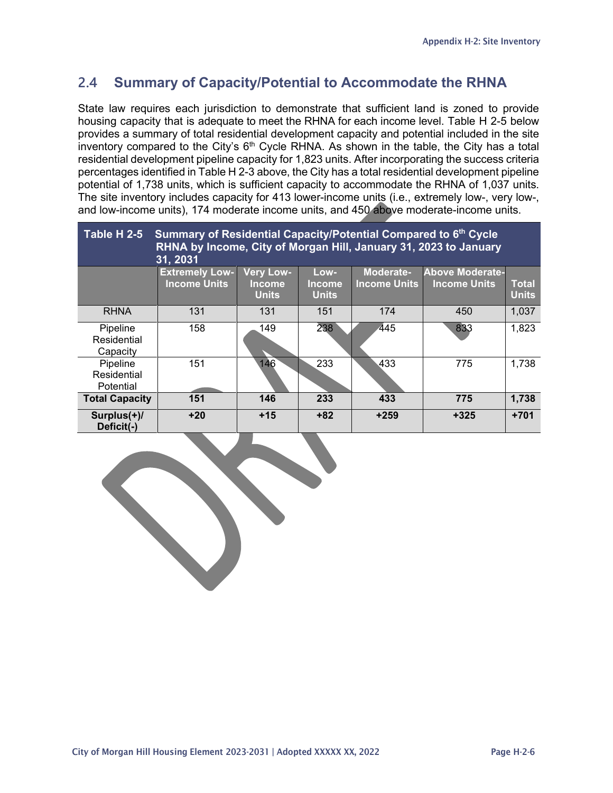#### **2.4 Summary of Capacity/Potential to Accommodate the RHNA**

State law requires each jurisdiction to demonstrate that sufficient land is zoned to provide housing capacity that is adequate to meet the RHNA for each income level. Table H 2-5 below provides a summary of total residential development capacity and potential included in the site inventory compared to the City's  $6<sup>th</sup>$  Cycle RHNA. As shown in the table, the City has a total residential development pipeline capacity for 1,823 units. After incorporating the success criteria percentages identified in Table H 2-3 above, the City has a total residential development pipeline potential of 1,738 units, which is sufficient capacity to accommodate the RHNA of 1,037 units. The site inventory includes capacity for 413 lower-income units (i.e., extremely low-, very low-, and low-income units), 174 moderate income units, and 450 above moderate-income units.

| Summary of Residential Capacity/Potential Compared to 6 <sup>th</sup> Cycle<br>Table H 2-5<br>RHNA by Income, City of Morgan Hill, January 31, 2023 to January<br>31, 2031 |                                              |                            |                |                                  |                                               |              |  |  |
|----------------------------------------------------------------------------------------------------------------------------------------------------------------------------|----------------------------------------------|----------------------------|----------------|----------------------------------|-----------------------------------------------|--------------|--|--|
|                                                                                                                                                                            | <b>Extremely Low-</b><br><b>Income Units</b> | Very Low-<br><b>Income</b> | Low-<br>Income | Moderate-<br><b>Income Units</b> | <b>Above Moderate-</b><br><b>Income Units</b> | <b>Total</b> |  |  |
|                                                                                                                                                                            |                                              | <b>Units</b>               | <b>Units</b>   |                                  |                                               | <b>Units</b> |  |  |
| <b>RHNA</b>                                                                                                                                                                | 131                                          | 131                        | 151            | 174                              | 450                                           | 1,037        |  |  |
| Pipeline<br>Residential                                                                                                                                                    | 158                                          | 149                        | 238            | 445                              | 833                                           | 1,823        |  |  |
| Capacity                                                                                                                                                                   |                                              |                            |                |                                  |                                               |              |  |  |
| Pipeline                                                                                                                                                                   | 151                                          | 146                        | 233            | 433                              | 775                                           | 1,738        |  |  |
| Residential<br>Potential                                                                                                                                                   |                                              |                            |                |                                  |                                               |              |  |  |
| <b>Total Capacity</b>                                                                                                                                                      | 151                                          | 146                        | 233            | 433                              | 775                                           | 1,738        |  |  |
| $Surplus(+)/$<br>Deficit(-)                                                                                                                                                | $+20$                                        | $+15$                      | $+82$          | $+259$                           | $+325$                                        | $+701$       |  |  |

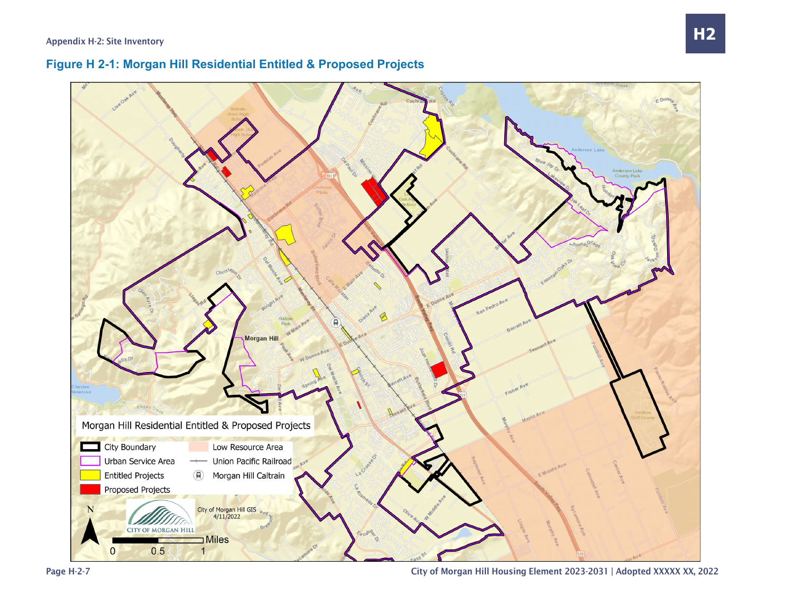



Page H-2-7 City of Morgan Hill Housing Element 2023-2031 | Adopted XXXXX XX, 2022